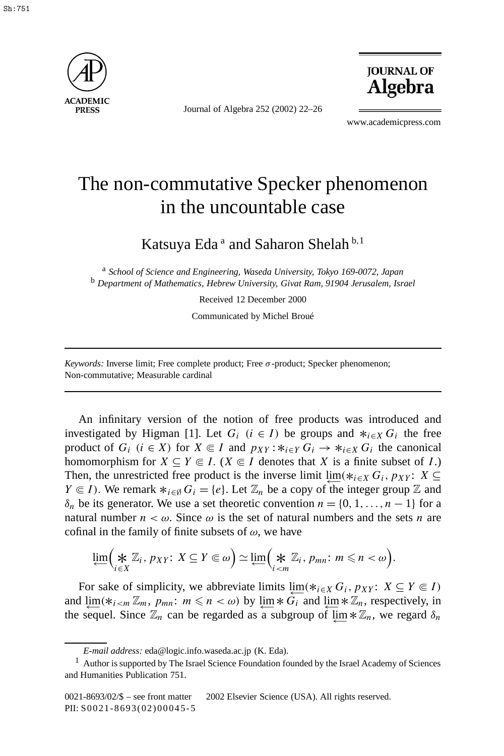

Journal of Algebra 252 (2002) 22–26



www.academicpress.com

## The non-commutative Specker phenomenon in the uncountable case

Katsuya Eda<sup>a</sup> and Saharon Shelah<sup>b,1</sup>

<sup>a</sup> *School of Science and Engineering, Waseda University, Tokyo 169-0072, Japan* <sup>b</sup> *Department of Mathematics, Hebrew University, Givat Ram, 91904 Jerusalem, Israel*

Received 12 December 2000

Communicated by Michel Broué

*Keywords:* Inverse limit; Free complete product; Free *σ*-product; Specker phenomenon; Non-commutative; Measurable cardinal

An infinitary version of the notion of free products was introduced and investigated by Higman [1]. Let  $G_i$  ( $i \in I$ ) be groups and  $*_{i \in X} G_i$  the free product of  $G_i$  ( $i \in X$ ) for  $X \subseteq I$  and  $p_{XY}$ : $*_{i \in Y} G_i \rightarrow *_{i \in X} G_i$  the canonical homomorphism for  $X \subseteq Y \subseteq I$ . ( $X \subseteq I$  denotes that  $X$  is a finite subset of  $I$ .) Then, the unrestricted free product is the inverse limit  $\lim_{k \to \infty}$  *G<sub>i</sub>*, *pxy* : *X* ⊆ *Y*  $\in$  *I*). We remark  $*_{i \in \emptyset} G_i = \{e\}$ . Let  $\mathbb{Z}_n$  be a copy of the integer group  $\mathbb{Z}$  and *δ<sub>n</sub>* be its generator. We use a set theoretic convention *n* = {0, 1, ..., *n* − 1} for a natural number  $n < \omega$ . Since  $\omega$  is the set of natural numbers and the sets *n* are cofinal in the family of finite subsets of *ω*, we have

$$
\lim_{i \in X} \Bigl(\underset{i \in X}{\bigstar} \mathbb{Z}_i, p_{XY}: X \subseteq Y \subseteq \omega\Bigr) \simeq \lim_{i \in \mathbb{M}} \Bigl(\underset{i \leq m}{\bigstar} \mathbb{Z}_i, p_{mn}: m \leq n < \omega\Bigr).
$$

For sake of simplicity, we abbreviate limits  $\lim_{i \in X} G_i$ ,  $p_{XY}$ :  $X \subseteq Y \subseteq I$ ) and  $\lim_{m \to \infty}$   $(*_{i by  $\lim_{m \to \infty}$  *  $G_i$  and  $\lim_{m \to \infty}$  *  $\mathbb{Z}_n$ , respectively, in$ the sequel. Since  $\mathbb{Z}_n$  can be regarded as a subgroup of lim  $* \mathbb{Z}_n$ , we regard  $\delta_n$ 

*E-mail address:* eda@logic.info.waseda.ac.jp (K. Eda).

 $<sup>1</sup>$  Author is supported by The Israel Science Foundation founded by the Israel Academy of Sciences</sup> and Humanities Publication 751.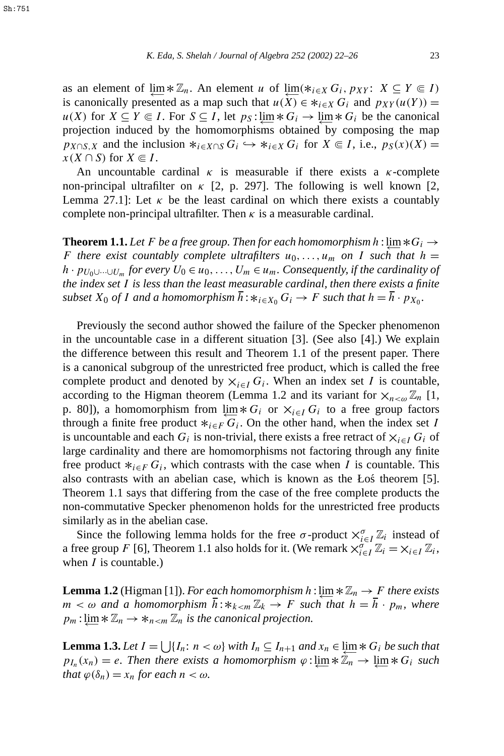as an element of  $\lim_{n \to \infty}$  \*  $\mathbb{Z}_n$ . An element *u* of  $\lim_{n \to \infty}$  (\**i*∈*X G<sub>i</sub>*, *p<sub>XY</sub>*: *X* ⊆ *Y* ∈ *I*) is canonically presented as a map such that  $u(X) \in *_{i \in X} G_i$  and  $p_{XY}(u(Y)) =$ *u(X)* for *X* ⊆ *Y*  $\in$  *I*. For *S* ⊆ *I*, let  $p_S$  :  $\varprojlim k G_i \to \varprojlim k G_i$  be the canonical projection induced by the homomorphisms obtained by composing the map  $p_{X \cap S, X}$  and the inclusion  $*_i \in X \cap S$  *G<sub>i</sub>*  $\hookrightarrow *_i \in X$  *G<sub>i</sub>* for  $X \subseteq I$ , i.e.,  $p_S(x)(X) =$ *x*(*X* ∩ *S*) for *X*  $\in$  *I*.

An uncountable cardinal  $\kappa$  is measurable if there exists a  $\kappa$ -complete non-principal ultrafilter on  $\kappa$  [2, p. 297]. The following is well known [2, Lemma 27.1]: Let  $\kappa$  be the least cardinal on which there exists a countably complete non-principal ultrafilter. Then  $\kappa$  is a measurable cardinal.

**Theorem 1.1.** Let F be a free group. Then for each homomorphism  $h$  : lim  $*G_i \rightarrow$ *F* there exist countably complete ultrafilters  $u_0, \ldots, u_m$  on *I* such that  $h =$ *h* ·  $p_{U_0 \cup \cdots \cup U_m}$  *for every*  $U_0 \in u_0, \ldots, U_m \in u_m$ . Consequently, if the cardinality of *the index set I is less than the least measurable cardinal, then there exists a finite subset*  $X_0$  *of I and a homomorphism*  $\overline{h}: *_{i \in X_0} G_i \to F$  *such that*  $h = \overline{h} \cdot p_{X_0}$ *.* 

Previously the second author showed the failure of the Specker phenomenon in the uncountable case in a different situation [3]. (See also [4].) We explain the difference between this result and Theorem 1.1 of the present paper. There is a canonical subgroup of the unrestricted free product, which is called the free complete product and denoted by  $\times_{i \in I} G_i$ . When an index set *I* is countable, according to the Higman theorem (Lemma 1.2 and its variant for  $\mathsf{X}_{n\leq\omega}\mathbb{Z}_n$  [1, p. 80]), a homomorphism from  $\lim_{i \to \infty}$  *√*  $\ltimes$  *c*<sub>*i*</sub> or  $\ltimes$ <sub>*i*∈*I*</sub> *G<sub>i</sub>* to a free group factors through a finite free product  $*_{i \in F} G_i$ . On the other hand, when the index set *I* is uncountable and each  $G_i$  is non-trivial, there exists a free retract of  $X_{i \in I} G_i$  of large cardinality and there are homomorphisms not factoring through any finite free product  $*_{i \in F} G_i$ , which contrasts with the case when *I* is countable. This also contrasts with an abelian case, which is known as the Łos theorem [5]. ´ Theorem 1.1 says that differing from the case of the free complete products the non-commutative Specker phenomenon holds for the unrestricted free products similarly as in the abelian case.

Since the following lemma holds for the free  $\sigma$ -product  $\times_{i \in I}^{\sigma} \mathbb{Z}_i$  instead of a free group *F* [6], Theorem 1.1 also holds for it. (We remark  $\chi_{i \in I}^{\sigma} \mathbb{Z}_i = \chi_{i \in I} \mathbb{Z}_i$ , when *I* is countable.)

**Lemma 1.2** (Higman [1]). *For each homomorphism*  $h$  : lim  $*\mathbb{Z}_n \to F$  *there exists*  $m < \omega$  *and a homomorphism*  $\overline{h}: *_{k < m} \mathbb{Z}_k \to F$  *such that*  $h = \overline{h} \cdot p_m$ *, where*  $p_m$ :  $\lim_{m \to \infty} \mathbb{Z}_n \to \mathbb{Z}_n$  *z*<sub>n</sub> *z*<sub>n</sub> *is the canonical projection.* 

**Lemma 1.3.** *Let*  $I = \bigcup \{I_n : n < \omega\}$  *with*  $I_n \subseteq I_{n+1}$  *and*  $x_n \in \varprojlim * G_i$  *be such that*  $p_{I_n}(x_n) = e$ . Then there exists a homomorphism  $\varphi : \lim_{n \to \infty} * \overline{\mathbb{Z}_n} \to \lim_{n \to \infty} * G_i$  such *that*  $\varphi(\delta_n) = x_n$  *for each*  $n < \omega$ *.*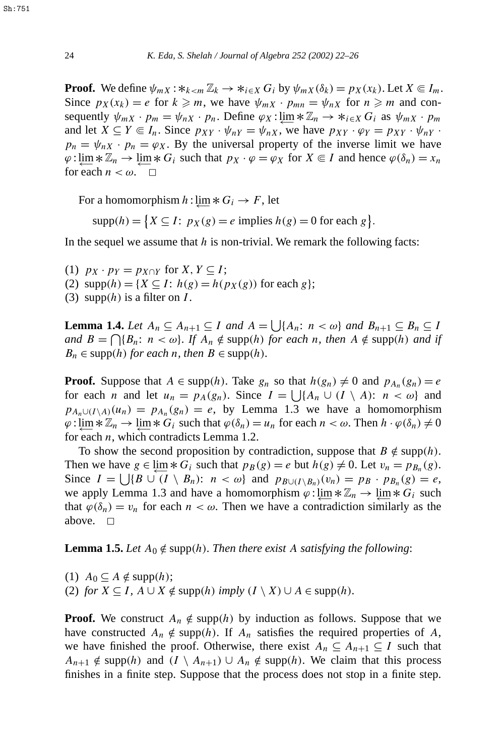**Proof.** We define  $\psi_{mX}$ :  $*_{k \le m} \mathbb{Z}_k \to *_{i \in X} G_i$  by  $\psi_{mX}(\delta_k) = p_X(x_k)$ . Let  $X \in I_m$ . Since  $p_X(x_k) = e$  for  $k \ge m$ , we have  $\psi_{mX} \cdot p_{mn} = \psi_{nX}$  for  $n \ge m$  and consequently  $\psi_{mX} \cdot p_m = \psi_{nX} \cdot p_n$ . Define  $\varphi_X : \lim \ast \mathbb{Z}_n \to \ast_{i \in X} G_i$  as  $\psi_{mX} \cdot p_m$ and let  $X \subseteq Y \subseteq I_n$ . Since  $p_{XY} \cdot \psi_{nY} = \psi_{nX}$ , we have  $p_{XY} \cdot \varphi_Y = p_{XY} \cdot \psi_{nY}$ .  $p_n = \psi_{nX} \cdot p_n = \varphi_X$ . By the universal property of the inverse limit we have  $\varphi$ :  $\lim_{n \to \infty}$   $* \mathbb{Z}_n \to \lim_{n \to \infty}$  \*  $G_i$  such that  $p_X \cdot \varphi = \varphi_X$  for  $X \in I$  and hence  $\varphi(\delta_n) = x_n$ for each  $n < \omega$ .  $\Box$ 

For a homomorphism  $h$  : lim  $* G_i \rightarrow F$ , let

$$
supp(h) = \{ X \subseteq I : p_X(g) = e \text{ implies } h(g) = 0 \text{ for each } g \}.
$$

In the sequel we assume that *h* is non-trivial. We remark the following facts:

- (1)  $p_X \cdot p_Y = p_{X \cap Y}$  for  $X, Y \subseteq I$ ;
- (2)  $\text{supp}(h) = \{X \subseteq I : h(g) = h(p_X(g)) \text{ for each } g\};$
- (3)  $\text{supp}(h)$  is a filter on *I*.

**Lemma 1.4.** *Let*  $A_n \subseteq A_{n+1} \subseteq I$  *and*  $A = \bigcup \{A_n : n < \omega\}$  *and*  $B_{n+1} \subseteq B_n \subseteq I$ *and*  $B = \bigcap \{B_n : n < \omega\}$ *. If*  $A_n \notin \text{supp}(h)$  *for each n, then*  $A \notin \text{supp}(h)$  *and if*  $B_n \in \text{supp}(h)$  *for each n, then*  $B \in \text{supp}(h)$ *.* 

**Proof.** Suppose that  $A \in \text{supp}(h)$ . Take  $g_n$  so that  $h(g_n) \neq 0$  and  $p_{A_n}(g_n) = e$ for each *n* and let  $u_n = p_A(g_n)$ . Since  $I = \bigcup \{A_n \cup (I \setminus A): n < \omega\}$  and  $p_{A_n \cup (I \setminus A)}(u_n) = p_{A_n}(g_n) = e$ , by Lemma 1.3 we have a homomorphism  $\varphi: \lim_{n \to \infty} * \mathbb{Z}_n \to \lim_{n \to \infty} * G_i$  such that  $\varphi(\delta_n) = u_n$  for each  $n < \omega$ . Then  $h \cdot \varphi(\delta_n) \neq 0$ for each *n*, which contradicts Lemma 1.2.

To show the second proposition by contradiction, suppose that  $B \notin \text{supp}(h)$ . Then we have  $g \in \varprojlim \ast G_i$  such that  $p_B(g) = e$  but  $h(g) \neq 0$ . Let  $v_n = p_{B_n}(g)$ . Since  $I = \bigcup \{ B \cup (I \setminus B_n) : n < \omega \}$  and  $p_{B \cup (I \setminus B_n)}(v_n) = p_B \cdot p_{B_n}(g) = e$ , we apply Lemma 1.3 and have a homomorphism  $\varphi$  :  $\lim_{n \to \infty} * \mathbb{Z}_n \to \lim_{n \to \infty} * G_i$  such that  $\varphi(\delta_n) = v_n$  for each  $n < \omega$ . Then we have a contradiction similarly as the above.  $\square$ 

**Lemma 1.5.** *Let*  $A_0 \notin \text{supp}(h)$ *. Then there exist A satisfying the following:* 

 $(1)$  *A*<sub>0</sub>  $\subseteq$  *A*  $\notin$  supp $(h)$ ; (2) *for*  $X \subseteq I$ ,  $A \cup X \notin \text{supp}(h)$  *imply*  $(I \setminus X) \cup A \in \text{supp}(h)$ *.* 

**Proof.** We construct  $A_n \notin \text{supp}(h)$  by induction as follows. Suppose that we have constructed  $A_n \notin \text{supp}(h)$ . If  $A_n$  satisfies the required properties of  $A$ , we have finished the proof. Otherwise, there exist  $A_n \subseteq A_{n+1} \subseteq I$  such that *A<sub>n+1</sub>* ∉ supp(*h*) and  $(I \setminus A_{n+1}) \cup A_n$  ∉ supp(*h*). We claim that this process finishes in a finite step. Suppose that the process does not stop in a finite step.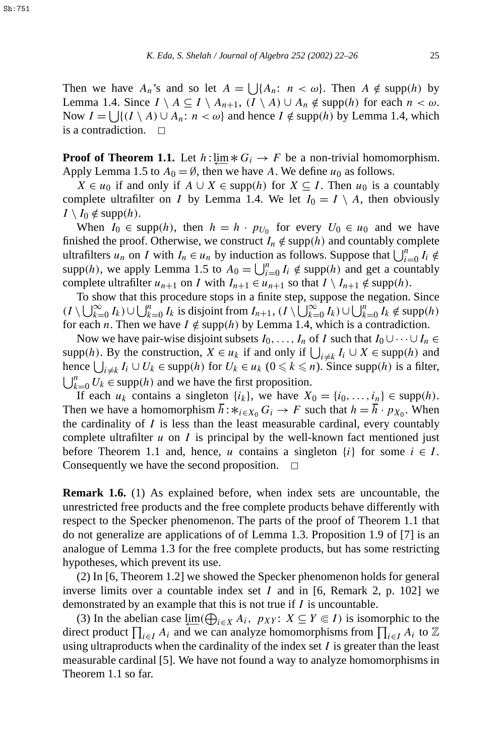Then we have  $A_n$ 's and so let  $A = \bigcup \{A_n : n < \omega\}$ . Then  $A \notin \text{supp}(h)$  by Lemma 1.4. Since *I*  $\setminus$  *A* ⊆ *I*  $\setminus$  *A<sub>n+1</sub>*, *(I*  $\setminus$  *A*) ∪ *A<sub>n</sub>* ∉ supp*(h)* for each *n* < ω. Now *I* =  $\bigcup \{ (I \setminus A) \cup A_n : n < \omega \}$  and hence *I* ∉ supp(*h*) by Lemma 1.4, which is a contradiction.  $\Box$ 

**Proof of Theorem 1.1.** Let  $h$  : lim  $*G_i \rightarrow F$  be a non-trivial homomorphism. Apply Lemma 1.5 to  $A_0 = \emptyset$ , then we have A. We define  $u_0$  as follows.

*X* ∈ *u*<sub>0</sub> if and only if *A* ∪ *X* ∈ supp(*h*) for *X* ⊆ *I*. Then *u*<sub>0</sub> is a countably complete ultrafilter on *I* by Lemma 1.4. We let  $I_0 = I \setminus A$ , then obviously  $I \setminus I_0 \notin \text{supp}(h)$ .

When  $I_0 \in \text{supp}(h)$ , then  $h = h \cdot p_{U_0}$  for every  $U_0 \in u_0$  and we have finished the proof. Otherwise, we construct  $I_n \notin \text{supp}(h)$  and countably complete ultrafilters *u<sub>n</sub>* on *I* with  $I_n \in u_n$  by induction as follows. Suppose that  $\bigcup_{i=0}^n I_i \notin$ supp(h), we apply Lemma 1.5 to  $A_0 = \bigcup_{i=0}^n I_i \notin \text{supp}(h)$  and get a countably complete ultrafilter *u*<sub>*n*+1</sub> on *I* with  $I_{n+1} \in u_{n+1}$  so that  $I \setminus I_{n+1} \notin \text{supp}(h)$ .

To show that this procedure stops in a finite step, suppose the negation. Since  $(I \setminus \bigcup_{k=0}^{\infty} I_k) \cup \bigcup_{k=0}^{n} I_k$  is disjoint from  $I_{n+1}$ ,  $(I \setminus \bigcup_{k=0}^{\infty} I_k) \cup \bigcup_{k=0}^{n} I_k \notin \text{supp}(h)$ for each *n*. Then we have  $I \notin \text{supp}(h)$  by Lemma 1.4, which is a contradiction.

Now we have pair-wise disjoint subsets  $I_0, \ldots, I_n$  of *I* such that  $I_0 \cup \cdots \cup I_n \in$ supp(*h*). By the construction,  $X \in u_k$  if and only if  $\bigcup_{i \neq k} I_i \cup X \in \text{supp}(h)$  and hence  $\bigcup_{i \neq k} I_i \cup U_k$  ∈ supp(*h*) for  $U_k$  ∈  $u_k$  (0 ≤  $k$  ≤ *n*). Since supp(*h*) is a filter,  $\bigcup_{k=0}^{n} U_k \in \text{supp}(h)$  and we have the first proposition.

If each  $u_k$  contains a singleton  $\{i_k\}$ , we have  $X_0 = \{i_0, \ldots, i_n\} \in \text{supp}(h)$ . Then we have a homomorphism  $\overline{h}: *_{i \in X_0} G_i \to F$  such that  $h = \overline{h} \cdot p_{X_0}$ . When the cardinality of *I* is less than the least measurable cardinal, every countably complete ultrafilter *u* on *I* is principal by the well-known fact mentioned just before Theorem 1.1 and, hence, *u* contains a singleton  $\{i\}$  for some  $i \in I$ . Consequently we have the second proposition.  $\Box$ 

**Remark 1.6.** (1) As explained before, when index sets are uncountable, the unrestricted free products and the free complete products behave differently with respect to the Specker phenomenon. The parts of the proof of Theorem 1.1 that do not generalize are applications of of Lemma 1.3. Proposition 1.9 of [7] is an analogue of Lemma 1.3 for the free complete products, but has some restricting hypotheses, which prevent its use.

(2) In [6, Theorem 1.2] we showed the Specker phenomenon holds for general inverse limits over a countable index set *I* and in [6, Remark 2, p. 102] we demonstrated by an example that this is not true if *I* is uncountable.

(3) In the abelian case  $\varprojlim(\bigoplus_{i \in X} A_i, p_{XY}: X \subseteq Y \subseteq I)$  is isomorphic to the direct product  $\prod_{i \in I} A_i$  and we can analyze homomorphisms from  $\prod_{i \in I} A_i$  to  $\mathbb{Z}$ using ultraproducts when the cardinality of the index set *I* is greater than the least measurable cardinal [5]. We have not found a way to analyze homomorphisms in Theorem 1.1 so far.